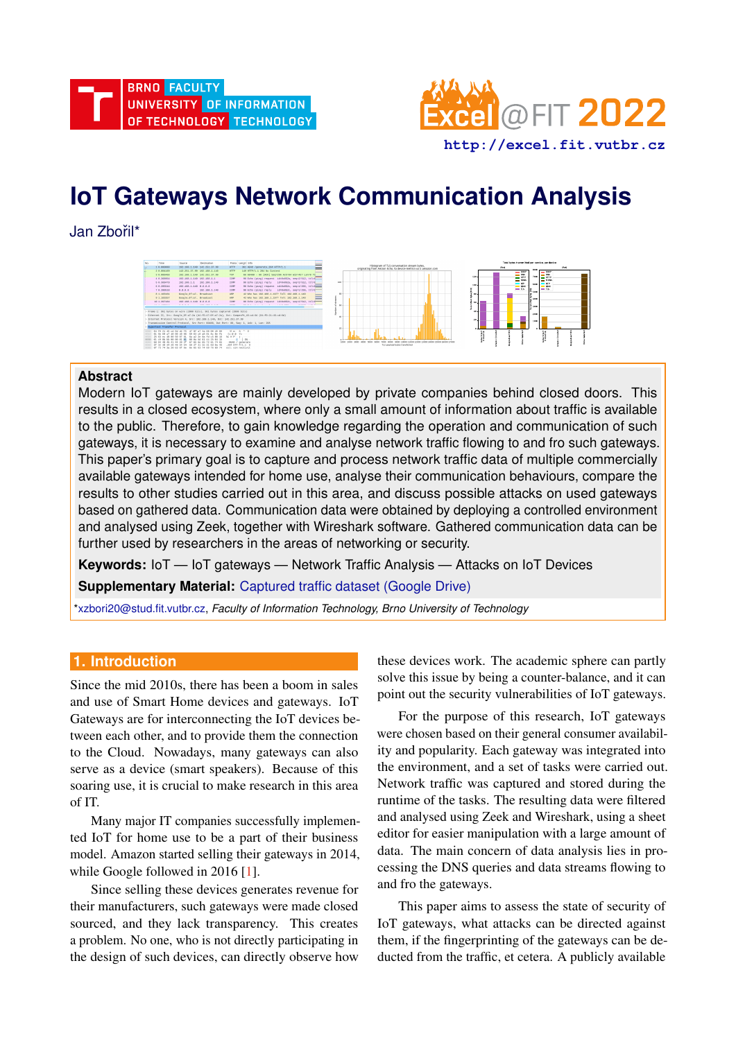

# **IoT Gateways Network Communication Analysis**

Jan Zbořil\*



# **Abstract**

Modern IoT gateways are mainly developed by private companies behind closed doors. This results in a closed ecosystem, where only a small amount of information about traffic is available to the public. Therefore, to gain knowledge regarding the operation and communication of such gateways, it is necessary to examine and analyse network traffic flowing to and fro such gateways. This paper's primary goal is to capture and process network traffic data of multiple commercially available gateways intended for home use, analyse their communication behaviours, compare the results to other studies carried out in this area, and discuss possible attacks on used gateways based on gathered data. Communication data were obtained by deploying a controlled environment and analysed using Zeek, together with Wireshark software. Gathered communication data can be further used by researchers in the areas of networking or security.

**Keywords:** IoT — IoT gateways — Network Traffic Analysis — Attacks on IoT Devices

**Supplementary Material:** [Captured traffic dataset \(Google Drive\)](https://drive.google.com/drive/folders/1JSBM0cV4KwUxj-v042Jxt24Ec7zoJ0lb?usp=sharing)

[\\*xzbori20@stud.fit.vutbr.cz,](mailto:xzbori20@stud.fit.vutbr.cz) *Faculty of Information Technology, Brno University of Technology*

# **1. Introduction**

Since the mid 2010s, there has been a boom in sales and use of Smart Home devices and gateways. IoT Gateways are for interconnecting the IoT devices between each other, and to provide them the connection to the Cloud. Nowadays, many gateways can also serve as a device (smart speakers). Because of this soaring use, it is crucial to make research in this area of IT.

Many major IT companies successfully implemented IoT for home use to be a part of their business model. Amazon started selling their gateways in 2014, while Google followed in 2016 [\[1\]](#page-6-0).

Since selling these devices generates revenue for their manufacturers, such gateways were made closed sourced, and they lack transparency. This creates a problem. No one, who is not directly participating in the design of such devices, can directly observe how these devices work. The academic sphere can partly solve this issue by being a counter-balance, and it can point out the security vulnerabilities of IoT gateways.

For the purpose of this research, IoT gateways were chosen based on their general consumer availability and popularity. Each gateway was integrated into the environment, and a set of tasks were carried out. Network traffic was captured and stored during the runtime of the tasks. The resulting data were filtered and analysed using Zeek and Wireshark, using a sheet editor for easier manipulation with a large amount of data. The main concern of data analysis lies in processing the DNS queries and data streams flowing to and fro the gateways.

This paper aims to assess the state of security of IoT gateways, what attacks can be directed against them, if the fingerprinting of the gateways can be deducted from the traffic, et cetera. A publicly available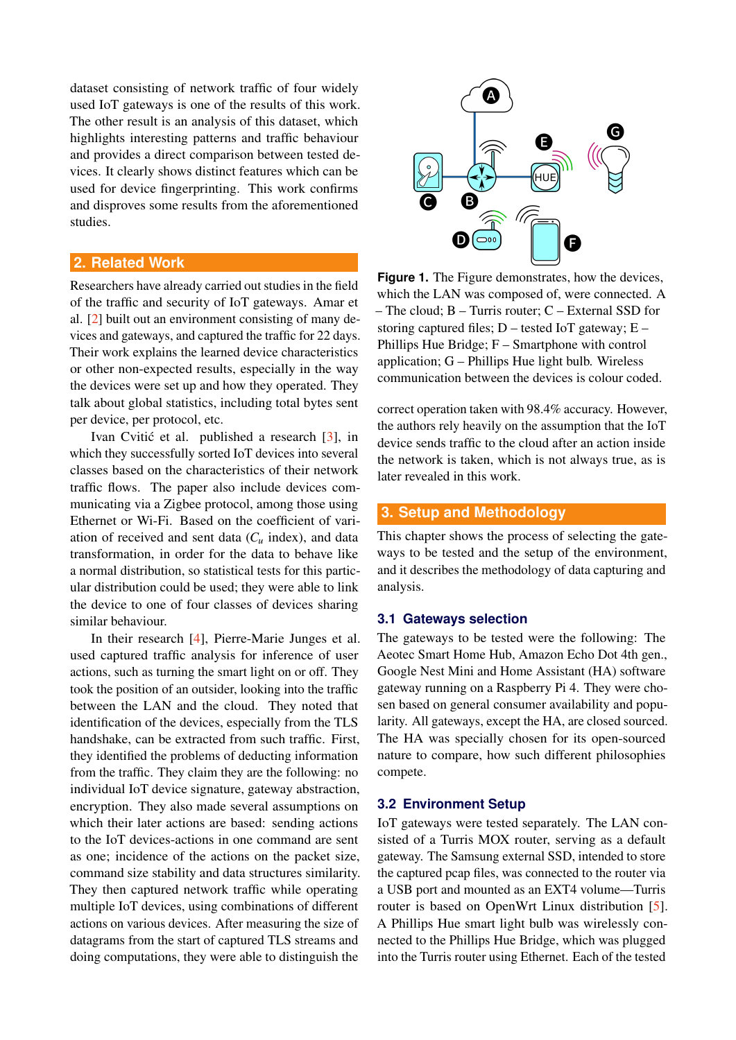dataset consisting of network traffic of four widely used IoT gateways is one of the results of this work. The other result is an analysis of this dataset, which highlights interesting patterns and traffic behaviour and provides a direct comparison between tested devices. It clearly shows distinct features which can be used for device fingerprinting. This work confirms and disproves some results from the aforementioned studies.

# **2. Related Work**

Researchers have already carried out studies in the field of the traffic and security of IoT gateways. Amar et al. [\[2\]](#page-6-1) built out an environment consisting of many devices and gateways, and captured the traffic for 22 days. Their work explains the learned device characteristics or other non-expected results, especially in the way the devices were set up and how they operated. They talk about global statistics, including total bytes sent per device, per protocol, etc.

Ivan Cvitić et al. published a research [[3\]](#page-6-2), in which they successfully sorted IoT devices into several classes based on the characteristics of their network traffic flows. The paper also include devices communicating via a Zigbee protocol, among those using Ethernet or Wi-Fi. Based on the coefficient of variation of received and sent data  $(C_u$  index), and data transformation, in order for the data to behave like a normal distribution, so statistical tests for this particular distribution could be used; they were able to link the device to one of four classes of devices sharing similar behaviour.

In their research [\[4\]](#page-6-3), Pierre-Marie Junges et al. used captured traffic analysis for inference of user actions, such as turning the smart light on or off. They took the position of an outsider, looking into the traffic between the LAN and the cloud. They noted that identification of the devices, especially from the TLS handshake, can be extracted from such traffic. First, they identified the problems of deducting information from the traffic. They claim they are the following: no individual IoT device signature, gateway abstraction, encryption. They also made several assumptions on which their later actions are based: sending actions to the IoT devices-actions in one command are sent as one; incidence of the actions on the packet size, command size stability and data structures similarity. They then captured network traffic while operating multiple IoT devices, using combinations of different actions on various devices. After measuring the size of datagrams from the start of captured TLS streams and doing computations, they were able to distinguish the

<span id="page-1-0"></span>

**Figure 1.** The Figure demonstrates, how the devices, which the LAN was composed of, were connected. A – The cloud; B – Turris router; C – External SSD for storing captured files;  $D$  – tested IoT gateway;  $E$  – Phillips Hue Bridge; F – Smartphone with control application; G – Phillips Hue light bulb. Wireless communication between the devices is colour coded.

correct operation taken with 98.4% accuracy. However, the authors rely heavily on the assumption that the IoT device sends traffic to the cloud after an action inside the network is taken, which is not always true, as is later revealed in this work.

# **3. Setup and Methodology**

This chapter shows the process of selecting the gateways to be tested and the setup of the environment, and it describes the methodology of data capturing and analysis.

#### **3.1 Gateways selection**

The gateways to be tested were the following: The Aeotec Smart Home Hub, Amazon Echo Dot 4th gen., Google Nest Mini and Home Assistant (HA) software gateway running on a Raspberry Pi 4. They were chosen based on general consumer availability and popularity. All gateways, except the HA, are closed sourced. The HA was specially chosen for its open-sourced nature to compare, how such different philosophies compete.

## **3.2 Environment Setup**

IoT gateways were tested separately. The LAN consisted of a Turris MOX router, serving as a default gateway. The Samsung external SSD, intended to store the captured pcap files, was connected to the router via a USB port and mounted as an EXT4 volume—Turris router is based on OpenWrt Linux distribution [\[5\]](#page-6-4). A Phillips Hue smart light bulb was wirelessly connected to the Phillips Hue Bridge, which was plugged into the Turris router using Ethernet. Each of the tested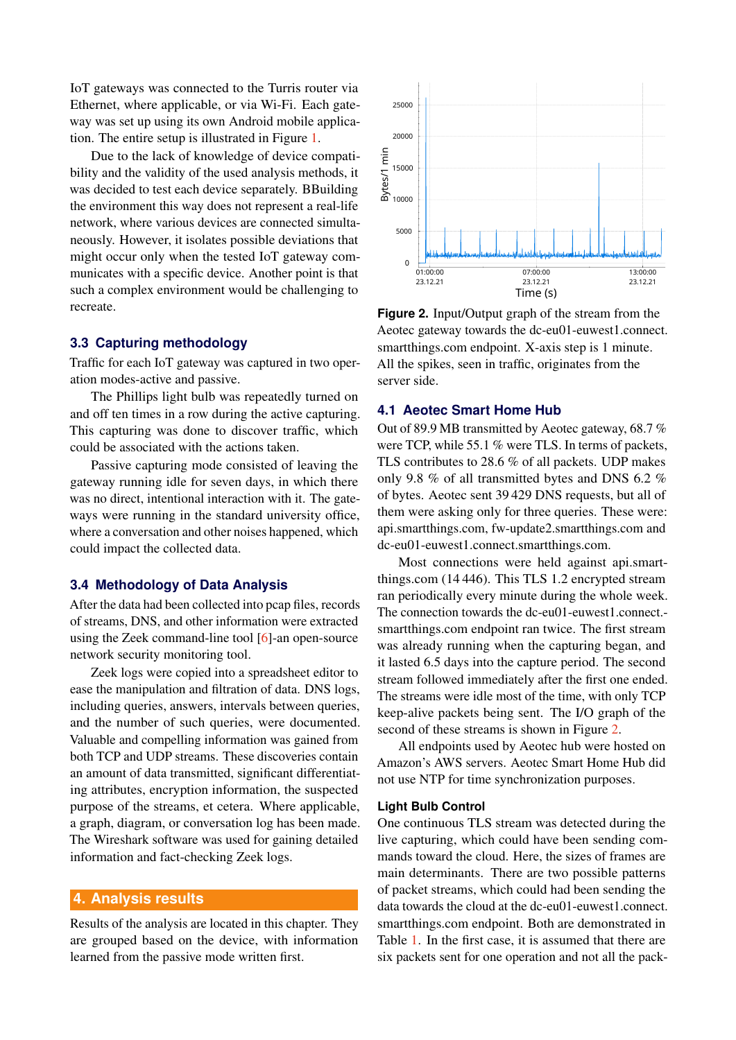IoT gateways was connected to the Turris router via Ethernet, where applicable, or via Wi-Fi. Each gateway was set up using its own Android mobile application. The entire setup is illustrated in Figure [1.](#page-1-0)

Due to the lack of knowledge of device compatibility and the validity of the used analysis methods, it was decided to test each device separately. BBuilding the environment this way does not represent a real-life network, where various devices are connected simultaneously. However, it isolates possible deviations that might occur only when the tested IoT gateway communicates with a specific device. Another point is that such a complex environment would be challenging to recreate.

#### **3.3 Capturing methodology**

Traffic for each IoT gateway was captured in two operation modes-active and passive.

The Phillips light bulb was repeatedly turned on and off ten times in a row during the active capturing. This capturing was done to discover traffic, which could be associated with the actions taken.

Passive capturing mode consisted of leaving the gateway running idle for seven days, in which there was no direct, intentional interaction with it. The gateways were running in the standard university office, where a conversation and other noises happened, which could impact the collected data.

#### **3.4 Methodology of Data Analysis**

After the data had been collected into pcap files, records of streams, DNS, and other information were extracted using the Zeek command-line tool [\[6\]](#page-6-5)-an open-source network security monitoring tool.

Zeek logs were copied into a spreadsheet editor to ease the manipulation and filtration of data. DNS logs, including queries, answers, intervals between queries, and the number of such queries, were documented. Valuable and compelling information was gained from both TCP and UDP streams. These discoveries contain an amount of data transmitted, significant differentiating attributes, encryption information, the suspected purpose of the streams, et cetera. Where applicable, a graph, diagram, or conversation log has been made. The Wireshark software was used for gaining detailed information and fact-checking Zeek logs.

# **4. Analysis results**

Results of the analysis are located in this chapter. They are grouped based on the device, with information learned from the passive mode written first.

<span id="page-2-0"></span>

**Figure 2.** Input/Output graph of the stream from the Aeotec gateway towards the dc-eu01-euwest1.connect. smartthings.com endpoint. X-axis step is 1 minute. All the spikes, seen in traffic, originates from the server side.

#### **4.1 Aeotec Smart Home Hub**

Out of 89.9 MB transmitted by Aeotec gateway, 68.7 % were TCP, while 55.1 % were TLS. In terms of packets, TLS contributes to 28.6 % of all packets. UDP makes only 9.8 % of all transmitted bytes and DNS 6.2 % of bytes. Aeotec sent 39 429 DNS requests, but all of them were asking only for three queries. These were: api.smartthings.com, fw-update2.smartthings.com and dc-eu01-euwest1.connect.smartthings.com.

Most connections were held against api.smartthings.com (14 446). This TLS 1.2 encrypted stream ran periodically every minute during the whole week. The connection towards the dc-eu01-euwest1.connect. smartthings.com endpoint ran twice. The first stream was already running when the capturing began, and it lasted 6.5 days into the capture period. The second stream followed immediately after the first one ended. The streams were idle most of the time, with only TCP keep-alive packets being sent. The I/O graph of the second of these streams is shown in Figure [2.](#page-2-0)

All endpoints used by Aeotec hub were hosted on Amazon's AWS servers. Aeotec Smart Home Hub did not use NTP for time synchronization purposes.

#### **Light Bulb Control**

One continuous TLS stream was detected during the live capturing, which could have been sending commands toward the cloud. Here, the sizes of frames are main determinants. There are two possible patterns of packet streams, which could had been sending the data towards the cloud at the dc-eu01-euwest1.connect. smartthings.com endpoint. Both are demonstrated in Table [1.](#page-3-0) In the first case, it is assumed that there are six packets sent for one operation and not all the pack-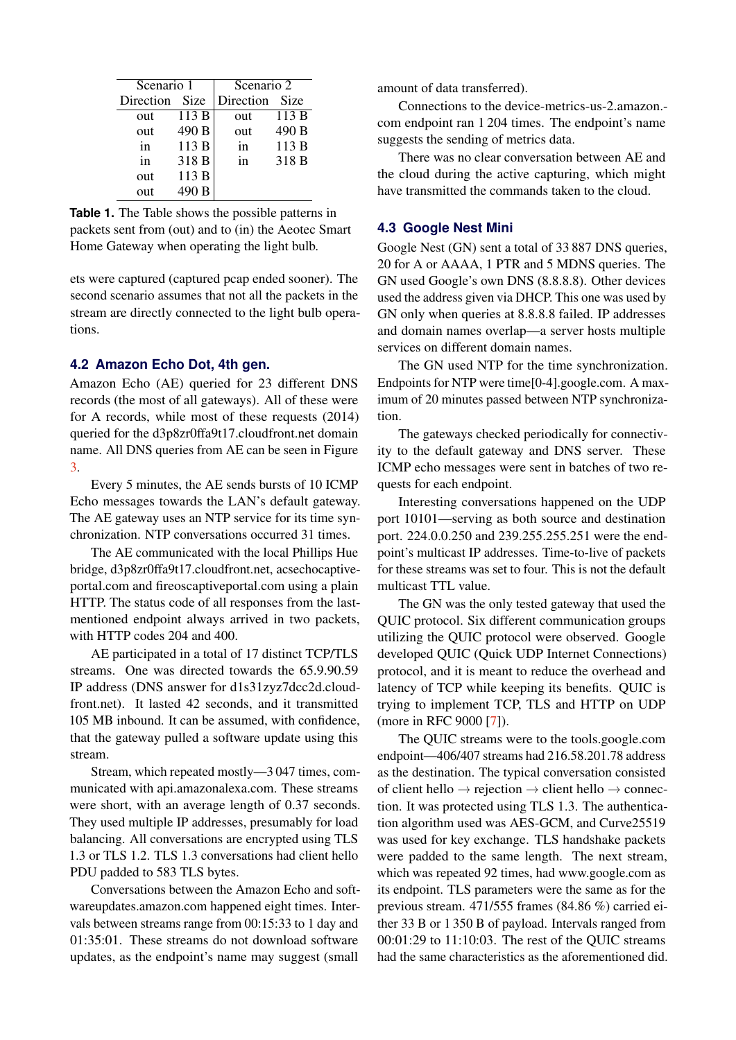<span id="page-3-0"></span>

| Scenario 1 |             | Scenario 2 |        |
|------------|-------------|------------|--------|
| Direction  | <b>Size</b> | Direction  | - Size |
| out        | 113 B       | out        | 113 B  |
| out        | 490 B       | out        | 490 B  |
| in         | 113 B       | in         | 113B   |
| in         | 318 B       | in         | 318 B  |
| out        | 113 B       |            |        |
| out        | 490 B       |            |        |

**Table 1.** The Table shows the possible patterns in packets sent from (out) and to (in) the Aeotec Smart Home Gateway when operating the light bulb.

ets were captured (captured pcap ended sooner). The second scenario assumes that not all the packets in the stream are directly connected to the light bulb operations.

## **4.2 Amazon Echo Dot, 4th gen.**

Amazon Echo (AE) queried for 23 different DNS records (the most of all gateways). All of these were for A records, while most of these requests (2014) queried for the d3p8zr0ffa9t17.cloudfront.net domain name. All DNS queries from AE can be seen in Figure [3.](#page-4-0)

Every 5 minutes, the AE sends bursts of 10 ICMP Echo messages towards the LAN's default gateway. The AE gateway uses an NTP service for its time synchronization. NTP conversations occurred 31 times.

The AE communicated with the local Phillips Hue bridge, d3p8zr0ffa9t17.cloudfront.net, acsechocaptiveportal.com and fireoscaptiveportal.com using a plain HTTP. The status code of all responses from the lastmentioned endpoint always arrived in two packets, with HTTP codes 204 and 400.

AE participated in a total of 17 distinct TCP/TLS streams. One was directed towards the 65.9.90.59 IP address (DNS answer for d1s31zyz7dcc2d.cloudfront.net). It lasted 42 seconds, and it transmitted 105 MB inbound. It can be assumed, with confidence, that the gateway pulled a software update using this stream.

Stream, which repeated mostly—3 047 times, communicated with api.amazonalexa.com. These streams were short, with an average length of 0.37 seconds. They used multiple IP addresses, presumably for load balancing. All conversations are encrypted using TLS 1.3 or TLS 1.2. TLS 1.3 conversations had client hello PDU padded to 583 TLS bytes.

Conversations between the Amazon Echo and softwareupdates.amazon.com happened eight times. Intervals between streams range from 00:15:33 to 1 day and 01:35:01. These streams do not download software updates, as the endpoint's name may suggest (small

amount of data transferred).

Connections to the device-metrics-us-2.amazon. com endpoint ran 1 204 times. The endpoint's name suggests the sending of metrics data.

There was no clear conversation between AE and the cloud during the active capturing, which might have transmitted the commands taken to the cloud.

#### **4.3 Google Nest Mini**

Google Nest (GN) sent a total of 33 887 DNS queries, 20 for A or AAAA, 1 PTR and 5 MDNS queries. The GN used Google's own DNS (8.8.8.8). Other devices used the address given via DHCP. This one was used by GN only when queries at 8.8.8.8 failed. IP addresses and domain names overlap—a server hosts multiple services on different domain names.

The GN used NTP for the time synchronization. Endpoints for NTP were time[0-4].google.com. A maximum of 20 minutes passed between NTP synchronization.

The gateways checked periodically for connectivity to the default gateway and DNS server. These ICMP echo messages were sent in batches of two requests for each endpoint.

Interesting conversations happened on the UDP port 10101—serving as both source and destination port. 224.0.0.250 and 239.255.255.251 were the endpoint's multicast IP addresses. Time-to-live of packets for these streams was set to four. This is not the default multicast TTL value.

The GN was the only tested gateway that used the QUIC protocol. Six different communication groups utilizing the QUIC protocol were observed. Google developed QUIC (Quick UDP Internet Connections) protocol, and it is meant to reduce the overhead and latency of TCP while keeping its benefits. QUIC is trying to implement TCP, TLS and HTTP on UDP (more in RFC 9000 [\[7\]](#page-6-6)).

The QUIC streams were to the tools.google.com endpoint—406/407 streams had 216.58.201.78 address as the destination. The typical conversation consisted of client hello  $\rightarrow$  rejection  $\rightarrow$  client hello  $\rightarrow$  connection. It was protected using TLS 1.3. The authentication algorithm used was AES-GCM, and Curve25519 was used for key exchange. TLS handshake packets were padded to the same length. The next stream, which was repeated 92 times, had www.google.com as its endpoint. TLS parameters were the same as for the previous stream. 471/555 frames (84.86 %) carried either 33 B or 1 350 B of payload. Intervals ranged from 00:01:29 to 11:10:03. The rest of the QUIC streams had the same characteristics as the aforementioned did.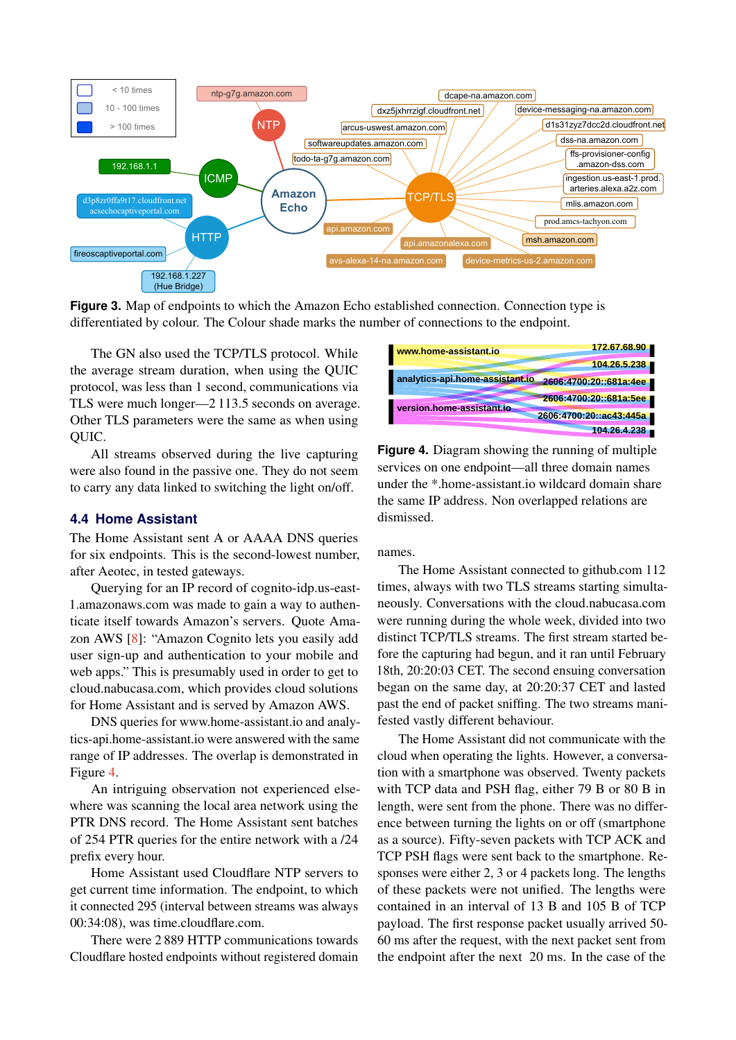<span id="page-4-0"></span>

**Figure 3.** Map of endpoints to which the Amazon Echo established connection. Connection type is differentiated by colour. The Colour shade marks the number of connections to the endpoint.

The GN also used the TCP/TLS protocol. While the average stream duration, when using the QUIC protocol, was less than 1 second, communications via TLS were much longer—2 113.5 seconds on average. Other TLS parameters were the same as when using QUIC.

All streams observed during the live capturing were also found in the passive one. They do not seem to carry any data linked to switching the light on/off.

#### **4.4 Home Assistant**

The Home Assistant sent A or AAAA DNS queries for six endpoints. This is the second-lowest number, after Aeotec, in tested gateways.

Querying for an IP record of cognito-idp.us-east-1.amazonaws.com was made to gain a way to authenticate itself towards Amazon's servers. Quote Amazon AWS [\[8\]](#page-6-7): "Amazon Cognito lets you easily add user sign-up and authentication to your mobile and web apps." This is presumably used in order to get to cloud.nabucasa.com, which provides cloud solutions for Home Assistant and is served by Amazon AWS.

DNS queries for www.home-assistant.io and analytics-api.home-assistant.io were answered with the same range of IP addresses. The overlap is demonstrated in Figure [4.](#page-4-1)

An intriguing observation not experienced elsewhere was scanning the local area network using the PTR DNS record. The Home Assistant sent batches of 254 PTR queries for the entire network with a /24 prefix every hour.

Home Assistant used Cloudflare NTP servers to get current time information. The endpoint, to which it connected 295 (interval between streams was always 00:34:08), was time.cloudflare.com.

There were 2 889 HTTP communications towards Cloudflare hosted endpoints without registered domain

<span id="page-4-1"></span>

**Figure 4.** Diagram showing the running of multiple services on one endpoint—all three domain names under the \*.home-assistant.io wildcard domain share the same IP address. Non overlapped relations are dismissed.

#### names.

The Home Assistant connected to github.com 112 times, always with two TLS streams starting simultaneously. Conversations with the cloud.nabucasa.com were running during the whole week, divided into two distinct TCP/TLS streams. The first stream started before the capturing had begun, and it ran until February 18th, 20:20:03 CET. The second ensuing conversation began on the same day, at 20:20:37 CET and lasted past the end of packet sniffing. The two streams manifested vastly different behaviour.

The Home Assistant did not communicate with the cloud when operating the lights. However, a conversation with a smartphone was observed. Twenty packets with TCP data and PSH flag, either 79 B or 80 B in length, were sent from the phone. There was no difference between turning the lights on or off (smartphone as a source). Fifty-seven packets with TCP ACK and TCP PSH flags were sent back to the smartphone. Responses were either 2, 3 or 4 packets long. The lengths of these packets were not unified. The lengths were contained in an interval of 13 B and 105 B of TCP payload. The first response packet usually arrived 50- 60 ms after the request, with the next packet sent from the endpoint after the next 20 ms. In the case of the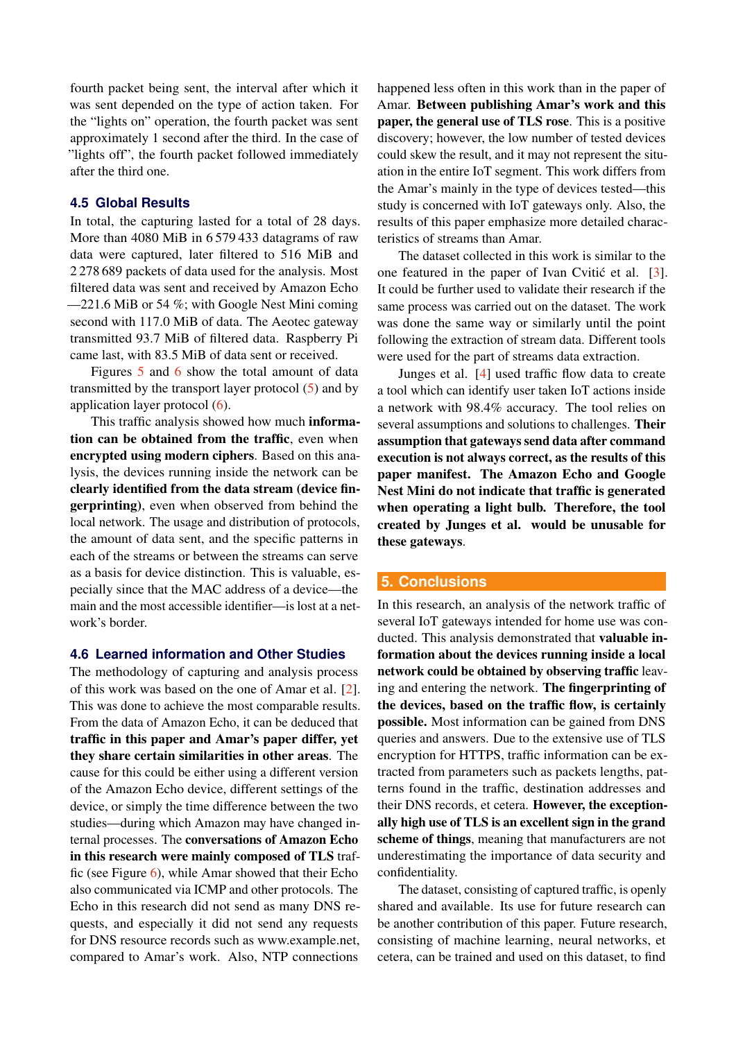fourth packet being sent, the interval after which it was sent depended on the type of action taken. For the "lights on" operation, the fourth packet was sent approximately 1 second after the third. In the case of "lights off", the fourth packet followed immediately after the third one.

#### **4.5 Global Results**

In total, the capturing lasted for a total of 28 days. More than 4080 MiB in 6 579 433 datagrams of raw data were captured, later filtered to 516 MiB and 2 278 689 packets of data used for the analysis. Most filtered data was sent and received by Amazon Echo —221.6 MiB or 54 %; with Google Nest Mini coming second with 117.0 MiB of data. The Aeotec gateway transmitted 93.7 MiB of filtered data. Raspberry Pi came last, with 83.5 MiB of data sent or received.

Figures [5](#page-6-8) and [6](#page-6-9) show the total amount of data transmitted by the transport layer protocol  $(5)$  and by application layer protocol [\(6\)](#page-6-9).

This traffic analysis showed how much information can be obtained from the traffic, even when encrypted using modern ciphers. Based on this analysis, the devices running inside the network can be clearly identified from the data stream (device fingerprinting), even when observed from behind the local network. The usage and distribution of protocols, the amount of data sent, and the specific patterns in each of the streams or between the streams can serve as a basis for device distinction. This is valuable, especially since that the MAC address of a device—the main and the most accessible identifier—is lost at a network's border.

## **4.6 Learned information and Other Studies**

The methodology of capturing and analysis process of this work was based on the one of Amar et al. [\[2\]](#page-6-1). This was done to achieve the most comparable results. From the data of Amazon Echo, it can be deduced that traffic in this paper and Amar's paper differ, yet they share certain similarities in other areas. The cause for this could be either using a different version of the Amazon Echo device, different settings of the device, or simply the time difference between the two studies—during which Amazon may have changed internal processes. The conversations of Amazon Echo in this research were mainly composed of TLS traffic (see Figure [6\)](#page-6-9), while Amar showed that their Echo also communicated via ICMP and other protocols. The Echo in this research did not send as many DNS requests, and especially it did not send any requests for DNS resource records such as www.example.net, compared to Amar's work. Also, NTP connections

happened less often in this work than in the paper of Amar. Between publishing Amar's work and this paper, the general use of TLS rose. This is a positive discovery; however, the low number of tested devices could skew the result, and it may not represent the situation in the entire IoT segment. This work differs from the Amar's mainly in the type of devices tested—this study is concerned with IoT gateways only. Also, the results of this paper emphasize more detailed characteristics of streams than Amar.

The dataset collected in this work is similar to the one featured in the paper of Ivan Cvitic et al.  $[3]$  $[3]$ . It could be further used to validate their research if the same process was carried out on the dataset. The work was done the same way or similarly until the point following the extraction of stream data. Different tools were used for the part of streams data extraction.

Junges et al. [\[4\]](#page-6-3) used traffic flow data to create a tool which can identify user taken IoT actions inside a network with 98.4% accuracy. The tool relies on several assumptions and solutions to challenges. Their assumption that gateways send data after command execution is not always correct, as the results of this paper manifest. The Amazon Echo and Google Nest Mini do not indicate that traffic is generated when operating a light bulb. Therefore, the tool created by Junges et al. would be unusable for these gateways.

#### **5. Conclusions**

In this research, an analysis of the network traffic of several IoT gateways intended for home use was conducted. This analysis demonstrated that valuable information about the devices running inside a local network could be obtained by observing traffic leaving and entering the network. The fingerprinting of the devices, based on the traffic flow, is certainly possible. Most information can be gained from DNS queries and answers. Due to the extensive use of TLS encryption for HTTPS, traffic information can be extracted from parameters such as packets lengths, patterns found in the traffic, destination addresses and their DNS records, et cetera. However, the exceptionally high use of TLS is an excellent sign in the grand scheme of things, meaning that manufacturers are not underestimating the importance of data security and confidentiality.

The dataset, consisting of captured traffic, is openly shared and available. Its use for future research can be another contribution of this paper. Future research, consisting of machine learning, neural networks, et cetera, can be trained and used on this dataset, to find